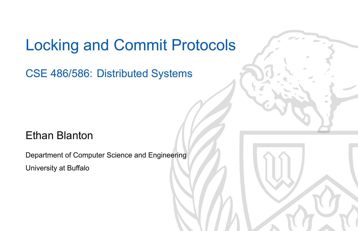### Locking and Commit Protocols

CSE 486/586: Distributed Systems

### Ethan Blanton

Department of Computer Science and Engineering University at Buffalo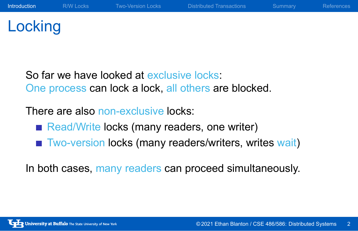## **Locking**

So far we have looked at exclusive locks: One process can lock a lock, all others are blocked.

There are also non-exclusive locks:

- Read/Write locks (many readers, one writer)
- Two-version locks (many readers/writers, writes wait)

In both cases, many readers can proceed simultaneously.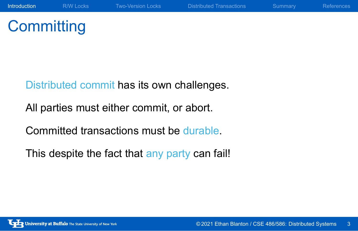Distributed commit has its own challenges.

All parties must either commit, or abort.

Committed transactions must be durable.

This despite the fact that any party can fail!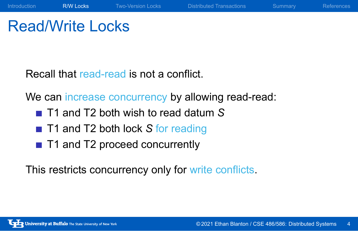### Read/Write Locks

Recall that read-read is not a conflict.

We can increase concurrency by allowing read-read:

Introduction **R/W Locks** Two-Version Locks Distributed Transactions Summary References

- T1 and T2 both wish to read datum S
- T1 and T2 both lock S for reading
- T1 and T2 proceed concurrently

This restricts concurrency only for write conflicts.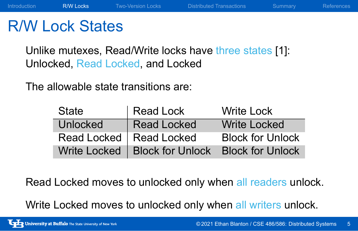### R/W Lock States

Unlike mutexes, Read/Write locks have three states [1]: Unlocked, Read Locked, and Locked

The allowable state transitions are:

| State           | Read Lock                                        | <b>Write Lock</b>       |
|-----------------|--------------------------------------------------|-------------------------|
| <b>Unlocked</b> | <b>Read Locked</b>                               | <b>Write Locked</b>     |
|                 | Read Locked   Read Locked                        | <b>Block for Unlock</b> |
|                 | Write Locked   Block for Unlock Block for Unlock |                         |

Read Locked moves to unlocked only when all readers unlock.

Write Locked moves to unlocked only when all writers unlock.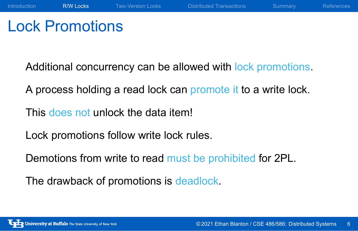### Lock Promotions

Additional concurrency can be allowed with lock promotions.

Introduction **R/W Locks** Two-Version Locks Distributed Transactions Summary References

A process holding a read lock can promote it to a write lock.

This does not unlock the data item!

Lock promotions follow write lock rules.

Demotions from write to read must be prohibited for 2PL.

The drawback of promotions is deadlock.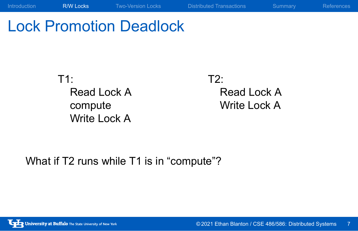## Lock Promotion Deadlock

T1: Read Lock A compute Write Lock A

T2: Read Lock A Write Lock A

Introduction **R/W Locks** Two-Version Locks Distributed Transactions Summary References

What if T2 runs while T1 is in "compute"?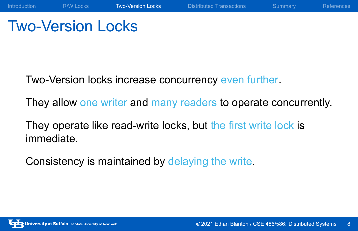### Two-Version Locks

Two-Version locks increase concurrency even further.

They allow one writer and many readers to operate concurrently.

Introduction R/W Locks Two-Version Locks Distributed Transactions Summary References

They operate like read-write locks, but the first write lock is immediate.

Consistency is maintained by delaying the write.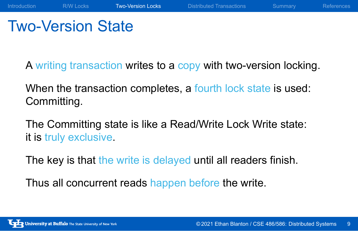# Two-Version State

A writing transaction writes to a copy with two-version locking.

Introduction R/W Locks Two-Version Locks Distributed Transactions Summary References

When the transaction completes, a fourth lock state is used: Committing.

The Committing state is like a Read/Write Lock Write state: it is truly exclusive.

The key is that the write is delayed until all readers finish.

Thus all concurrent reads happen before the write.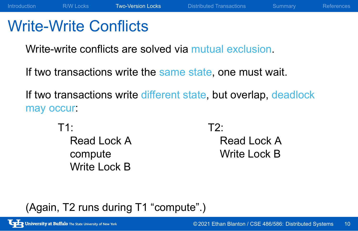### Write-Write Conflicts

Write-write conflicts are solved via mutual exclusion.

If two transactions write the same state, one must wait.

If two transactions write different state, but overlap, deadlock may occur:

Introduction MC R/W Locks Two-Version Locks Distributed Transactions Summary References

T1:

Read Lock A compute Write Lock B

T2: Read Lock A Write Lock B

### (Again, T2 runs during T1 "compute".)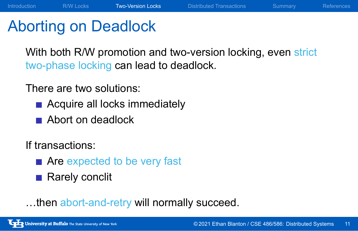## Aborting on Deadlock

With both R/W promotion and two-version locking, even strict two-phase locking can lead to deadlock.

Introduction R/W Locks Two-Version Locks Distributed Transactions Summary References

There are two solutions:

- Acquire all locks immediately
- Abort on deadlock

If transactions:

- Are expected to be very fast
- Rarely conclit
- …then abort-and-retry will normally succeed.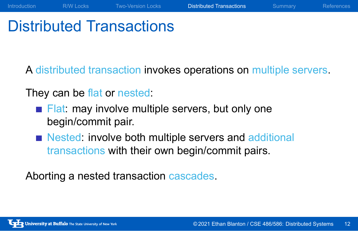### Distributed Transactions

A distributed transaction invokes operations on multiple servers.

Introduction R/W Locks Two-Version Locks Distributed Transactions Summary References

They can be flat or nested:

- Flat: may involve multiple servers, but only one begin/commit pair.
- Nested: involve both multiple servers and additional transactions with their own begin/commit pairs.

Aborting a nested transaction cascades.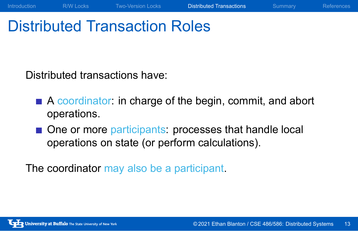### Distributed Transaction Roles

Distributed transactions have:

A coordinator: in charge of the begin, commit, and abort operations.

Introduction R/W Locks Two-Version Locks Distributed Transactions Summary References

One or more participants: processes that handle local operations on state (or perform calculations).

The coordinator may also be a participant.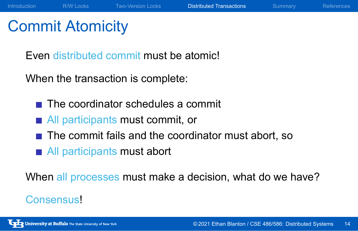## Commit Atomicity

Even distributed commit must be atomic!

When the transaction is complete:

- The coordinator schedules a commit
- **All participants must commit, or**
- The commit fails and the coordinator must abort, so
- All participants must abort

When all processes must make a decision, what do we have?

Introduction R/W Locks Two-Version Locks Distributed Transactions Summary References

#### Consensus!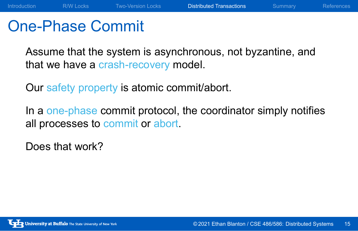### One-Phase Commit

Assume that the system is asynchronous, not byzantine, and that we have a crash-recovery model.

Our safety property is atomic commit/abort.

In a one-phase commit protocol, the coordinator simply notifies all processes to commit or abort.

Does that work?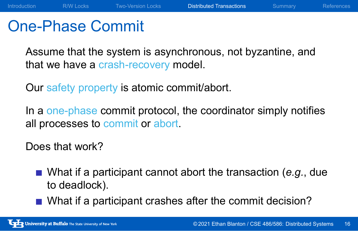### One-Phase Commit

Assume that the system is asynchronous, not byzantine, and that we have a crash-recovery model.

Our safety property is atomic commit/abort.

In a one-phase commit protocol, the coordinator simply notifies all processes to commit or abort.

Does that work?

- What if a participant cannot abort the transaction (*e.g.*, due to deadlock).
- What if a participant crashes after the commit decision?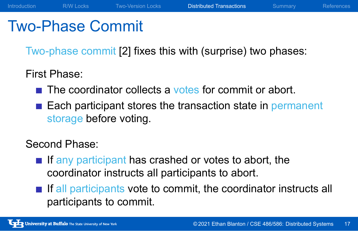# Two-Phase Commit

Two-phase commit [2] fixes this with (surprise) two phases:

Introduction R/W Locks Two-Version Locks Distributed Transactions Summary References

First Phase:

- The coordinator collects a votes for commit or abort.
- Each participant stores the transaction state in permanent storage before voting.

Second Phase:

- $\blacksquare$  If any participant has crashed or votes to abort, the coordinator instructs all participants to abort.
- $\blacksquare$  If all participants vote to commit, the coordinator instructs all participants to commit.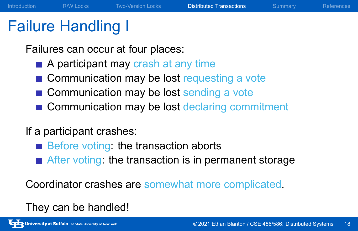### Failure Handling I

Failures can occur at four places:

- A participant may crash at any time
- Communication may be lost requesting a vote
- Communication may be lost sending a vote
- Communication may be lost declaring commitment

Introduction R/W Locks Two-Version Locks Distributed Transactions Summary References

#### If a participant crashes:

- $\blacksquare$  Before voting: the transaction aborts
- After voting: the transaction is in permanent storage

Coordinator crashes are somewhat more complicated.

They can be handled!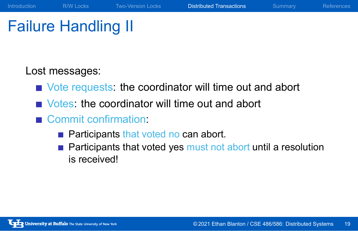## Failure Handling II

Lost messages:

Vote requests: the coordinator will time out and abort

Introduction R/W Locks Two-Version Locks Distributed Transactions Summary References

- Votes: the coordinator will time out and abort
- Commit confirmation:
	- **Participants that voted no can abort.**
	- Participants that voted yes must not abort until a resolution is received!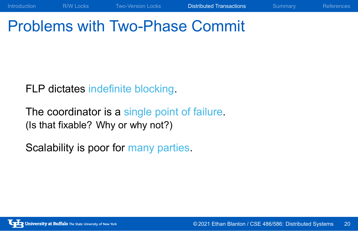# Problems with Two-Phase Commit

Introduction R/W Locks Two-Version Locks Distributed Transactions Summary References

FLP dictates indefinite blocking.

The coordinator is a single point of failure. (Is that fixable? Why or why not?)

Scalability is poor for many parties.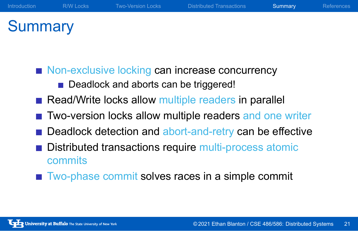# **Summary**

- Non-exclusive locking can increase concurrency
	- Deadlock and aborts can be triggered!
- Read/Write locks allow multiple readers in parallel
- Two-version locks allow multiple readers and one writer

Introduction R/W Locks Two-Version Locks Distributed Transactions Summary References

- Deadlock detection and abort-and-retry can be effective
- Distributed transactions require multi-process atomic commits
- Two-phase commit solves races in a simple commit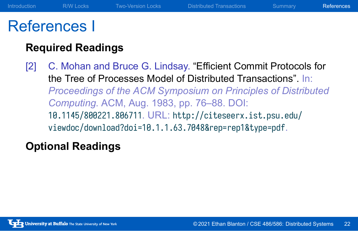## References I

### **Required Readings**

[2] C. Mohan and Bruce G. Lindsay. "Efficient Commit Protocols for the Tree of Processes Model of Distributed Transactions". In: *Proceedings of the ACM Symposium on Principles of Distributed Computing*. ACM, Aug. 1983, pp. 76–88. DOI: 10.1145/800221.806711. URL: http://citeseerx.ist.psu.edu/ viewdoc/download?doi=10.1.1.63.7048&rep=rep1&type=pdf.

Introduction R/W Locks Two-Version Locks Distributed Transactions Summary References

### **Optional Readings**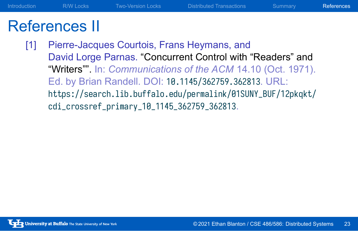### References II

[1] Pierre-Jacques Courtois, Frans Heymans, and David Lorge Parnas. "Concurrent Control with "Readers" and "Writers"". In: *Communications of the ACM* 14.10 (Oct. 1971). Ed. by Brian Randell. DOI: 10.1145/362759.362813. URL: https://search.lib.buffalo.edu/permalink/01SUNY\_BUF/12pkqkt/ cdi\_crossref\_primary\_10\_1145\_362759\_362813.

Introduction R/W Locks Two-Version Locks Distributed Transactions Summary References